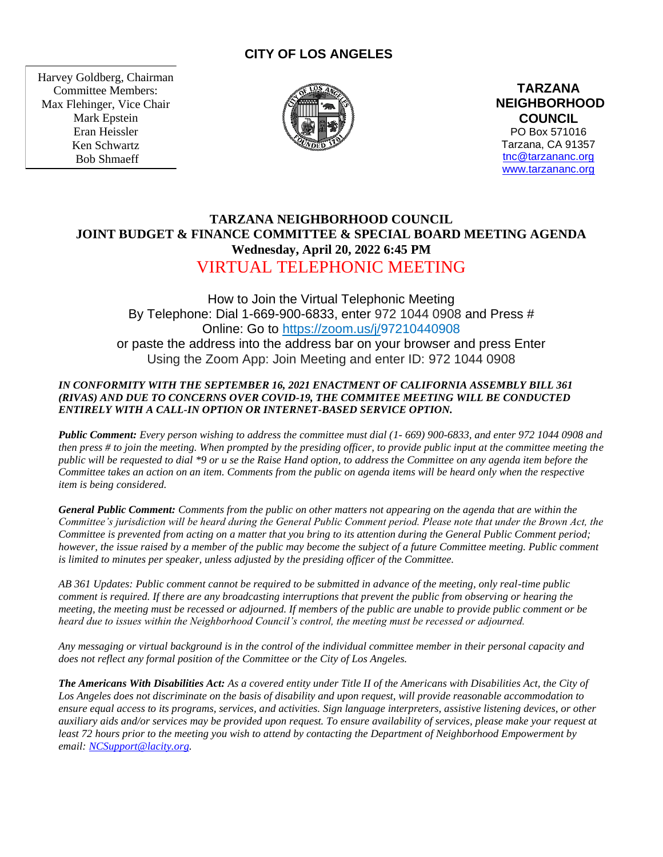# **CITY OF LOS ANGELES**

Harvey Goldberg, Chairman Committee Members: Max Flehinger, Vice Chair Mark Epstein Eran Heissler Ken Schwartz Bob Shmaeff



**TARZANA NEIGHBORHOOD COUNCIL**  PO Box 571016 Tarzana, CA 91357 [tnc@tarzananc.org](mailto:tnc@tarzananc.org) [www.tarzananc.org](http://www.tarzananc.org/)

# **TARZANA NEIGHBORHOOD COUNCIL JOINT BUDGET & FINANCE COMMITTEE & SPECIAL BOARD MEETING AGENDA Wednesday, April 20, 2022 6:45 PM** VIRTUAL TELEPHONIC MEETING

How to Join the Virtual Telephonic Meeting By Telephone: Dial 1-669-900-6833, enter 972 1044 0908 and Press # Online: Go to [https://zoom.us/j/9](https://zoom.us/j/)7210440908 or paste the address into the address bar on your browser and press Enter Using the Zoom App: Join Meeting and enter ID: 972 1044 0908

### *IN CONFORMITY WITH THE SEPTEMBER 16, 2021 ENACTMENT OF CALIFORNIA ASSEMBLY BILL 361 (RIVAS) AND DUE TO CONCERNS OVER COVID-19, THE COMMITEE MEETING WILL BE CONDUCTED ENTIRELY WITH A CALL-IN OPTION OR INTERNET-BASED SERVICE OPTION.*

*Public Comment: Every person wishing to address the committee must dial (1- 669) 900-6833, and enter 972 1044 0908 and then press # to join the meeting. When prompted by the presiding officer, to provide public input at the committee meeting the public will be requested to dial \*9 or u se the Raise Hand option, to address the Committee on any agenda item before the Committee takes an action on an item. Comments from the public on agenda items will be heard only when the respective item is being considered.*

*General Public Comment: Comments from the public on other matters not appearing on the agenda that are within the Committee's jurisdiction will be heard during the General Public Comment period. Please note that under the Brown Act, the Committee is prevented from acting on a matter that you bring to its attention during the General Public Comment period; however, the issue raised by a member of the public may become the subject of a future Committee meeting. Public comment is limited to minutes per speaker, unless adjusted by the presiding officer of the Committee.*

*AB 361 Updates: Public comment cannot be required to be submitted in advance of the meeting, only real-time public comment is required. If there are any broadcasting interruptions that prevent the public from observing or hearing the meeting, the meeting must be recessed or adjourned. If members of the public are unable to provide public comment or be heard due to issues within the Neighborhood Council's control, the meeting must be recessed or adjourned.*

*Any messaging or virtual background is in the control of the individual committee member in their personal capacity and does not reflect any formal position of the Committee or the City of Los Angeles.*

*The Americans With Disabilities Act: As a covered entity under Title II of the Americans with Disabilities Act, the City of Los Angeles does not discriminate on the basis of disability and upon request, will provide reasonable accommodation to ensure equal access to its programs, services, and activities. Sign language interpreters, assistive listening devices, or other auxiliary aids and/or services may be provided upon request. To ensure availability of services, please make your request at least 72 hours prior to the meeting you wish to attend by contacting the Department of Neighborhood Empowerment by email: [NCSupport@lacity.org.](mailto:NCSupport@lacity.org)*